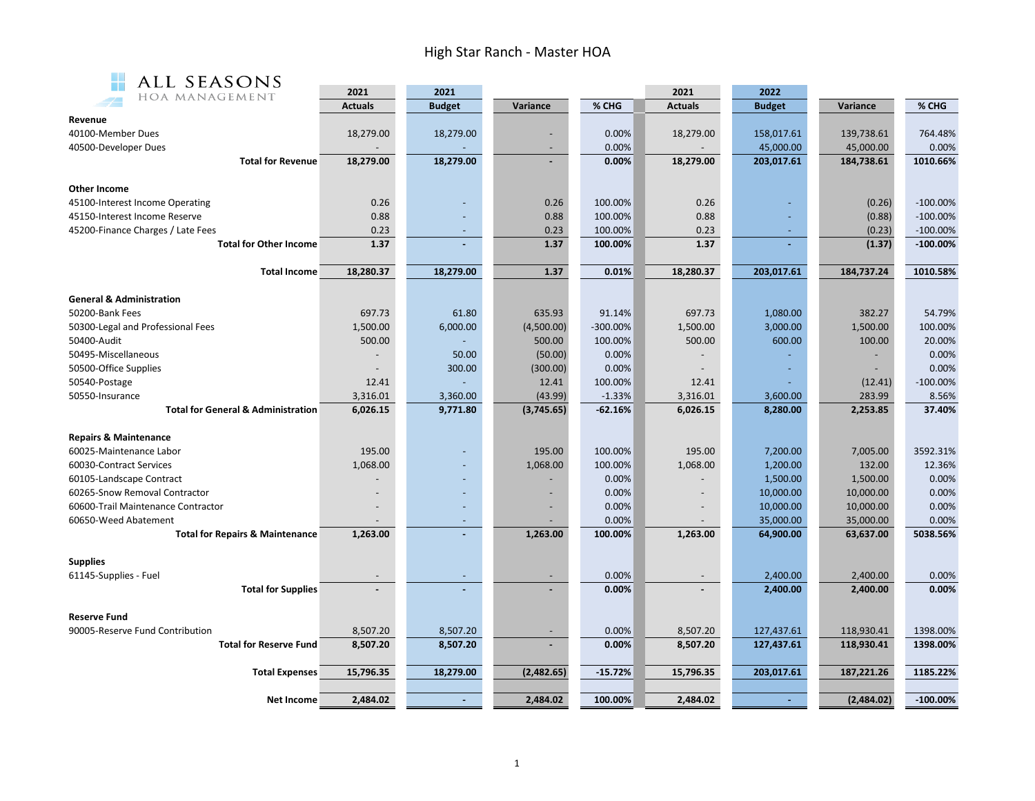## High Star Ranch - Master HOA



| ALL SEASONS                                   |                |                          |            |             |                          |               |            |             |
|-----------------------------------------------|----------------|--------------------------|------------|-------------|--------------------------|---------------|------------|-------------|
| HOA MANAGEMENT                                | 2021           | 2021                     | Variance   | % CHG       | 2021                     | 2022          |            | % CHG       |
|                                               | <b>Actuals</b> | <b>Budget</b>            |            |             | <b>Actuals</b>           | <b>Budget</b> | Variance   |             |
| Revenue<br>40100-Member Dues                  | 18,279.00      | 18,279.00                |            | 0.00%       | 18,279.00                | 158,017.61    | 139,738.61 | 764.48%     |
|                                               |                |                          |            |             |                          |               |            |             |
| 40500-Developer Dues                          |                |                          |            | 0.00%       |                          | 45,000.00     | 45,000.00  | 0.00%       |
| <b>Total for Revenue</b>                      | 18,279.00      | 18,279.00                |            | 0.00%       | 18,279.00                | 203,017.61    | 184,738.61 | 1010.66%    |
| Other Income                                  |                |                          |            |             |                          |               |            |             |
| 45100-Interest Income Operating               | 0.26           |                          | 0.26       | 100.00%     | 0.26                     |               | (0.26)     | $-100.00%$  |
| 45150-Interest Income Reserve                 | 0.88           |                          | 0.88       | 100.00%     | 0.88                     |               | (0.88)     | $-100.00\%$ |
| 45200-Finance Charges / Late Fees             | 0.23           |                          | 0.23       | 100.00%     | 0.23                     |               | (0.23)     | $-100.00\%$ |
| <b>Total for Other Income</b>                 | 1.37           |                          | 1.37       | 100.00%     | 1.37                     |               | (1.37)     | $-100.00\%$ |
|                                               |                |                          |            |             |                          |               |            |             |
| <b>Total Income</b>                           | 18,280.37      | 18,279.00                | 1.37       | 0.01%       | 18,280.37                | 203,017.61    | 184,737.24 | 1010.58%    |
| <b>General &amp; Administration</b>           |                |                          |            |             |                          |               |            |             |
| 50200-Bank Fees                               | 697.73         | 61.80                    | 635.93     | 91.14%      | 697.73                   | 1,080.00      | 382.27     | 54.79%      |
| 50300-Legal and Professional Fees             | 1,500.00       | 6,000.00                 | (4,500.00) | $-300.00\%$ | 1,500.00                 | 3,000.00      | 1,500.00   | 100.00%     |
| 50400-Audit                                   | 500.00         |                          | 500.00     | 100.00%     | 500.00                   | 600.00        | 100.00     | 20.00%      |
| 50495-Miscellaneous                           |                | 50.00                    | (50.00)    | 0.00%       |                          |               |            | 0.00%       |
| 50500-Office Supplies                         |                | 300.00                   | (300.00)   | 0.00%       |                          |               |            | 0.00%       |
| 50540-Postage                                 | 12.41          |                          | 12.41      | 100.00%     | 12.41                    |               | (12.41)    | $-100.00%$  |
| 50550-Insurance                               | 3,316.01       | 3,360.00                 | (43.99)    | $-1.33%$    | 3,316.01                 | 3,600.00      | 283.99     | 8.56%       |
| <b>Total for General &amp; Administration</b> | 6,026.15       | 9,771.80                 | (3,745.65) | $-62.16%$   | 6,026.15                 | 8,280.00      | 2,253.85   | 37.40%      |
|                                               |                |                          |            |             |                          |               |            |             |
| <b>Repairs &amp; Maintenance</b>              |                |                          |            |             |                          |               |            |             |
| 60025-Maintenance Labor                       | 195.00         |                          | 195.00     | 100.00%     | 195.00                   | 7,200.00      | 7,005.00   | 3592.31%    |
| 60030-Contract Services                       | 1,068.00       |                          | 1,068.00   | 100.00%     | 1,068.00                 | 1,200.00      | 132.00     | 12.36%      |
| 60105-Landscape Contract                      |                |                          |            | 0.00%       |                          | 1,500.00      | 1,500.00   | 0.00%       |
| 60265-Snow Removal Contractor                 |                |                          |            | 0.00%       |                          | 10,000.00     | 10,000.00  | 0.00%       |
| 60600-Trail Maintenance Contractor            |                |                          |            | 0.00%       |                          | 10,000.00     | 10,000.00  | 0.00%       |
| 60650-Weed Abatement                          |                | $\overline{\phantom{a}}$ |            | 0.00%       | $\overline{\phantom{a}}$ | 35,000.00     | 35,000.00  | 0.00%       |
| <b>Total for Repairs &amp; Maintenance</b>    | 1,263.00       |                          | 1,263.00   | 100.00%     | 1,263.00                 | 64,900.00     | 63,637.00  | 5038.56%    |
| <b>Supplies</b>                               |                |                          |            |             |                          |               |            |             |
| 61145-Supplies - Fuel                         |                |                          |            | 0.00%       |                          | 2,400.00      | 2,400.00   | 0.00%       |
| <b>Total for Supplies</b>                     |                |                          |            | 0.00%       |                          | 2,400.00      | 2,400.00   | 0.00%       |
|                                               |                |                          |            |             |                          |               |            |             |
| <b>Reserve Fund</b>                           |                |                          |            |             |                          |               |            |             |
| 90005-Reserve Fund Contribution               | 8,507.20       | 8,507.20                 |            | 0.00%       | 8,507.20                 | 127,437.61    | 118,930.41 | 1398.00%    |
| <b>Total for Reserve Fund</b>                 | 8,507.20       | 8,507.20                 |            | 0.00%       | 8,507.20                 | 127,437.61    | 118,930.41 | 1398.00%    |
| <b>Total Expenses</b>                         | 15,796.35      | 18,279.00                | (2,482.65) | $-15.72%$   | 15,796.35                | 203,017.61    | 187,221.26 | 1185.22%    |
|                                               |                |                          |            |             |                          |               |            |             |
| <b>Net Income</b>                             | 2,484.02       | $\omega$                 | 2,484.02   | 100.00%     | 2,484.02                 |               | (2,484.02) | $-100.00%$  |